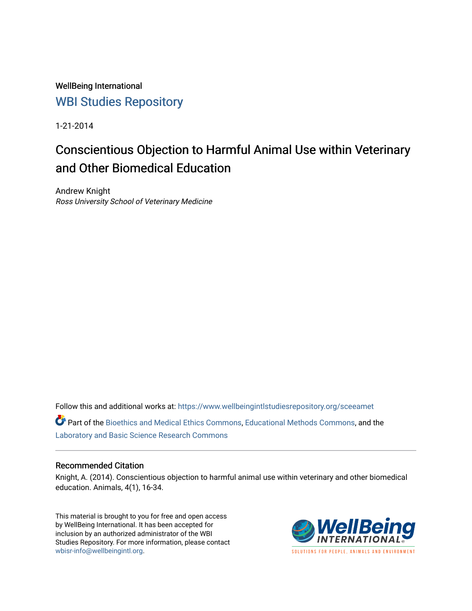WellBeing International [WBI Studies Repository](https://www.wellbeingintlstudiesrepository.org/)

1-21-2014

# Conscientious Objection to Harmful Animal Use within Veterinary and Other Biomedical Education

Andrew Knight Ross University School of Veterinary Medicine

Follow this and additional works at: [https://www.wellbeingintlstudiesrepository.org/sceeamet](https://www.wellbeingintlstudiesrepository.org/sceeamet?utm_source=www.wellbeingintlstudiesrepository.org%2Fsceeamet%2F1&utm_medium=PDF&utm_campaign=PDFCoverPages)

Part of the [Bioethics and Medical Ethics Commons,](http://network.bepress.com/hgg/discipline/650?utm_source=www.wellbeingintlstudiesrepository.org%2Fsceeamet%2F1&utm_medium=PDF&utm_campaign=PDFCoverPages) [Educational Methods Commons,](http://network.bepress.com/hgg/discipline/1227?utm_source=www.wellbeingintlstudiesrepository.org%2Fsceeamet%2F1&utm_medium=PDF&utm_campaign=PDFCoverPages) and the [Laboratory and Basic Science Research Commons](http://network.bepress.com/hgg/discipline/812?utm_source=www.wellbeingintlstudiesrepository.org%2Fsceeamet%2F1&utm_medium=PDF&utm_campaign=PDFCoverPages) 

#### Recommended Citation

Knight, A. (2014). Conscientious objection to harmful animal use within veterinary and other biomedical education. Animals, 4(1), 16-34.

This material is brought to you for free and open access by WellBeing International. It has been accepted for inclusion by an authorized administrator of the WBI Studies Repository. For more information, please contact [wbisr-info@wellbeingintl.org](mailto:wbisr-info@wellbeingintl.org).



SOLUTIONS FOR PEOPLE. ANIMALS AND ENVIRONMENT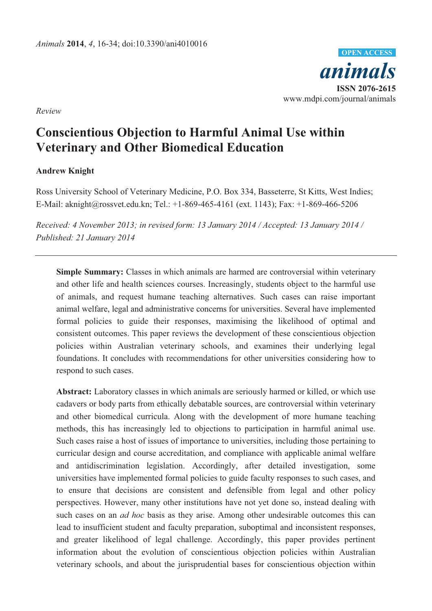

*Review* 

# **Conscientious Objection to Harmful Animal Use within Veterinary and Other Biomedical Education**

# **Andrew Knight**

Ross University School of Veterinary Medicine, P.O. Box 334, Basseterre, St Kitts, West Indies; E-Mail: aknight@rossvet.edu.kn; Tel.: +1-869-465-4161 (ext. 1143); Fax: +1-869-466-5206

*Received: 4 November 2013; in revised form: 13 January 2014 / Accepted: 13 January 2014 / Published: 21 January 2014* 

**Simple Summary:** Classes in which animals are harmed are controversial within veterinary and other life and health sciences courses. Increasingly, students object to the harmful use of animals, and request humane teaching alternatives. Such cases can raise important animal welfare, legal and administrative concerns for universities. Several have implemented formal policies to guide their responses, maximising the likelihood of optimal and consistent outcomes. This paper reviews the development of these conscientious objection policies within Australian veterinary schools, and examines their underlying legal foundations. It concludes with recommendations for other universities considering how to respond to such cases.

**Abstract:** Laboratory classes in which animals are seriously harmed or killed, or which use cadavers or body parts from ethically debatable sources, are controversial within veterinary and other biomedical curricula. Along with the development of more humane teaching methods, this has increasingly led to objections to participation in harmful animal use. Such cases raise a host of issues of importance to universities, including those pertaining to curricular design and course accreditation, and compliance with applicable animal welfare and antidiscrimination legislation. Accordingly, after detailed investigation, some universities have implemented formal policies to guide faculty responses to such cases, and to ensure that decisions are consistent and defensible from legal and other policy perspectives. However, many other institutions have not yet done so, instead dealing with such cases on an *ad hoc* basis as they arise. Among other undesirable outcomes this can lead to insufficient student and faculty preparation, suboptimal and inconsistent responses, and greater likelihood of legal challenge. Accordingly, this paper provides pertinent information about the evolution of conscientious objection policies within Australian veterinary schools, and about the jurisprudential bases for conscientious objection within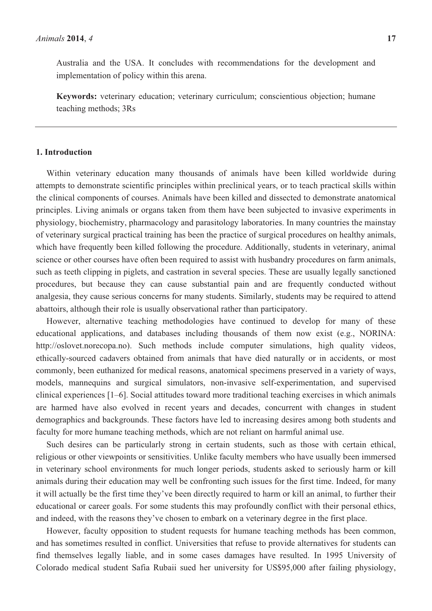**Keywords:** veterinary education; veterinary curriculum; conscientious objection; humane teaching methods; 3Rs

## **1. Introduction**

Within veterinary education many thousands of animals have been killed worldwide during attempts to demonstrate scientific principles within preclinical years, or to teach practical skills within the clinical components of courses. Animals have been killed and dissected to demonstrate anatomical principles. Living animals or organs taken from them have been subjected to invasive experiments in physiology, biochemistry, pharmacology and parasitology laboratories. In many countries the mainstay of veterinary surgical practical training has been the practice of surgical procedures on healthy animals, which have frequently been killed following the procedure. Additionally, students in veterinary, animal science or other courses have often been required to assist with husbandry procedures on farm animals, such as teeth clipping in piglets, and castration in several species. These are usually legally sanctioned procedures, but because they can cause substantial pain and are frequently conducted without analgesia, they cause serious concerns for many students. Similarly, students may be required to attend abattoirs, although their role is usually observational rather than participatory.

However, alternative teaching methodologies have continued to develop for many of these educational applications, and databases including thousands of them now exist (e.g., NORINA: http://oslovet.norecopa.no). Such methods include computer simulations, high quality videos, ethically-sourced cadavers obtained from animals that have died naturally or in accidents, or most commonly, been euthanized for medical reasons, anatomical specimens preserved in a variety of ways, models, mannequins and surgical simulators, non-invasive self-experimentation, and supervised clinical experiences [1–6]. Social attitudes toward more traditional teaching exercises in which animals are harmed have also evolved in recent years and decades, concurrent with changes in student demographics and backgrounds. These factors have led to increasing desires among both students and faculty for more humane teaching methods, which are not reliant on harmful animal use.

Such desires can be particularly strong in certain students, such as those with certain ethical, religious or other viewpoints or sensitivities. Unlike faculty members who have usually been immersed in veterinary school environments for much longer periods, students asked to seriously harm or kill animals during their education may well be confronting such issues for the first time. Indeed, for many it will actually be the first time they've been directly required to harm or kill an animal, to further their educational or career goals. For some students this may profoundly conflict with their personal ethics, and indeed, with the reasons they've chosen to embark on a veterinary degree in the first place.

However, faculty opposition to student requests for humane teaching methods has been common, and has sometimes resulted in conflict. Universities that refuse to provide alternatives for students can find themselves legally liable, and in some cases damages have resulted. In 1995 University of Colorado medical student Safia Rubaii sued her university for US\$95,000 after failing physiology,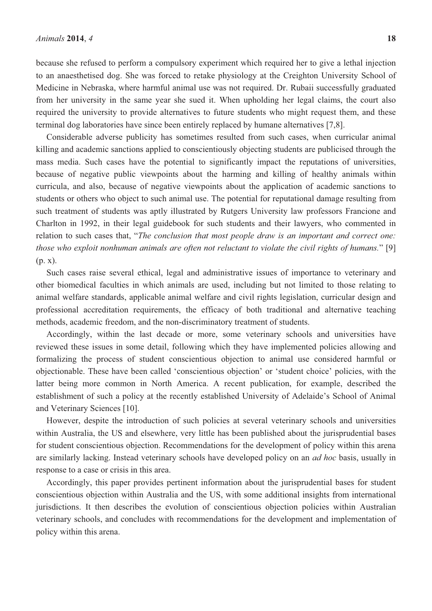because she refused to perform a compulsory experiment which required her to give a lethal injection to an anaesthetised dog. She was forced to retake physiology at the Creighton University School of Medicine in Nebraska, where harmful animal use was not required. Dr. Rubaii successfully graduated from her university in the same year she sued it. When upholding her legal claims, the court also required the university to provide alternatives to future students who might request them, and these terminal dog laboratories have since been entirely replaced by humane alternatives [7,8].

Considerable adverse publicity has sometimes resulted from such cases, when curricular animal killing and academic sanctions applied to conscientiously objecting students are publicised through the mass media. Such cases have the potential to significantly impact the reputations of universities, because of negative public viewpoints about the harming and killing of healthy animals within curricula, and also, because of negative viewpoints about the application of academic sanctions to students or others who object to such animal use. The potential for reputational damage resulting from such treatment of students was aptly illustrated by Rutgers University law professors Francione and Charlton in 1992, in their legal guidebook for such students and their lawyers, who commented in relation to such cases that, "*The conclusion that most people draw is an important and correct one: those who exploit nonhuman animals are often not reluctant to violate the civil rights of humans.*" [9] (p. x).

Such cases raise several ethical, legal and administrative issues of importance to veterinary and other biomedical faculties in which animals are used, including but not limited to those relating to animal welfare standards, applicable animal welfare and civil rights legislation, curricular design and professional accreditation requirements, the efficacy of both traditional and alternative teaching methods, academic freedom, and the non-discriminatory treatment of students.

Accordingly, within the last decade or more, some veterinary schools and universities have reviewed these issues in some detail, following which they have implemented policies allowing and formalizing the process of student conscientious objection to animal use considered harmful or objectionable. These have been called 'conscientious objection' or 'student choice' policies, with the latter being more common in North America. A recent publication, for example, described the establishment of such a policy at the recently established University of Adelaide's School of Animal and Veterinary Sciences [10].

However, despite the introduction of such policies at several veterinary schools and universities within Australia, the US and elsewhere, very little has been published about the jurisprudential bases for student conscientious objection. Recommendations for the development of policy within this arena are similarly lacking. Instead veterinary schools have developed policy on an *ad hoc* basis, usually in response to a case or crisis in this area.

Accordingly, this paper provides pertinent information about the jurisprudential bases for student conscientious objection within Australia and the US, with some additional insights from international jurisdictions. It then describes the evolution of conscientious objection policies within Australian veterinary schools, and concludes with recommendations for the development and implementation of policy within this arena.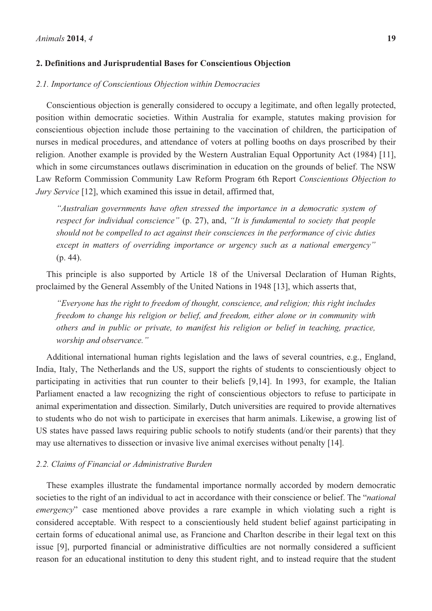#### **2. Definitions and Jurisprudential Bases for Conscientious Objection**

#### *2.1. Importance of Conscientious Objection within Democracies*

Conscientious objection is generally considered to occupy a legitimate, and often legally protected, position within democratic societies. Within Australia for example, statutes making provision for conscientious objection include those pertaining to the vaccination of children, the participation of nurses in medical procedures, and attendance of voters at polling booths on days proscribed by their religion. Another example is provided by the Western Australian Equal Opportunity Act (1984) [11], which in some circumstances outlaws discrimination in education on the grounds of belief. The NSW Law Reform Commission Community Law Reform Program 6th Report *Conscientious Objection to Jury Service* [12], which examined this issue in detail, affirmed that,

*"Australian governments have often stressed the importance in a democratic system of respect for individual conscience"* (p. 27), and, *"It is fundamental to society that people should not be compelled to act against their consciences in the performance of civic duties except in matters of overriding importance or urgency such as a national emergency"* (p. 44).

This principle is also supported by Article 18 of the Universal Declaration of Human Rights, proclaimed by the General Assembly of the United Nations in 1948 [13], which asserts that,

*"Everyone has the right to freedom of thought, conscience, and religion; this right includes freedom to change his religion or belief, and freedom, either alone or in community with others and in public or private, to manifest his religion or belief in teaching, practice, worship and observance."*

Additional international human rights legislation and the laws of several countries, e.g., England, India, Italy, The Netherlands and the US, support the rights of students to conscientiously object to participating in activities that run counter to their beliefs [9,14]. In 1993, for example, the Italian Parliament enacted a law recognizing the right of conscientious objectors to refuse to participate in animal experimentation and dissection. Similarly, Dutch universities are required to provide alternatives to students who do not wish to participate in exercises that harm animals. Likewise, a growing list of US states have passed laws requiring public schools to notify students (and/or their parents) that they may use alternatives to dissection or invasive live animal exercises without penalty [14].

#### *2.2. Claims of Financial or Administrative Burden*

These examples illustrate the fundamental importance normally accorded by modern democratic societies to the right of an individual to act in accordance with their conscience or belief. The "*national emergency*" case mentioned above provides a rare example in which violating such a right is considered acceptable. With respect to a conscientiously held student belief against participating in certain forms of educational animal use, as Francione and Charlton describe in their legal text on this issue [9], purported financial or administrative difficulties are not normally considered a sufficient reason for an educational institution to deny this student right, and to instead require that the student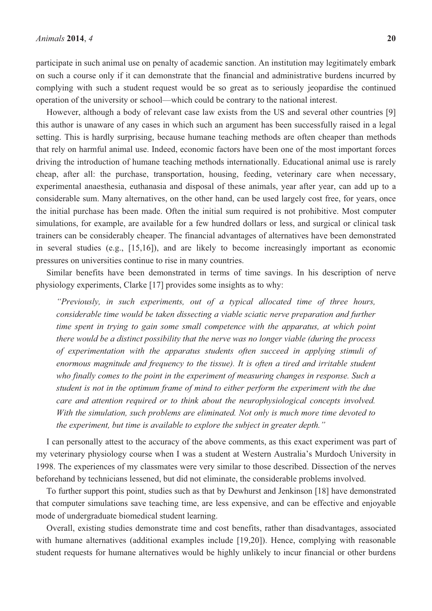participate in such animal use on penalty of academic sanction. An institution may legitimately embark on such a course only if it can demonstrate that the financial and administrative burdens incurred by complying with such a student request would be so great as to seriously jeopardise the continued operation of the university or school—which could be contrary to the national interest.

However, although a body of relevant case law exists from the US and several other countries [9] this author is unaware of any cases in which such an argument has been successfully raised in a legal setting. This is hardly surprising, because humane teaching methods are often cheaper than methods that rely on harmful animal use. Indeed, economic factors have been one of the most important forces driving the introduction of humane teaching methods internationally. Educational animal use is rarely cheap, after all: the purchase, transportation, housing, feeding, veterinary care when necessary, experimental anaesthesia, euthanasia and disposal of these animals, year after year, can add up to a considerable sum. Many alternatives, on the other hand, can be used largely cost free, for years, once the initial purchase has been made. Often the initial sum required is not prohibitive. Most computer simulations, for example, are available for a few hundred dollars or less, and surgical or clinical task trainers can be considerably cheaper. The financial advantages of alternatives have been demonstrated in several studies (e.g., [15,16]), and are likely to become increasingly important as economic pressures on universities continue to rise in many countries.

Similar benefits have been demonstrated in terms of time savings. In his description of nerve physiology experiments, Clarke [17] provides some insights as to why:

*"Previously, in such experiments, out of a typical allocated time of three hours, considerable time would be taken dissecting a viable sciatic nerve preparation and further time spent in trying to gain some small competence with the apparatus, at which point there would be a distinct possibility that the nerve was no longer viable (during the process of experimentation with the apparatus students often succeed in applying stimuli of enormous magnitude and frequency to the tissue). It is often a tired and irritable student who finally comes to the point in the experiment of measuring changes in response. Such a student is not in the optimum frame of mind to either perform the experiment with the due care and attention required or to think about the neurophysiological concepts involved. With the simulation, such problems are eliminated. Not only is much more time devoted to the experiment, but time is available to explore the subject in greater depth."* 

I can personally attest to the accuracy of the above comments, as this exact experiment was part of my veterinary physiology course when I was a student at Western Australia's Murdoch University in 1998. The experiences of my classmates were very similar to those described. Dissection of the nerves beforehand by technicians lessened, but did not eliminate, the considerable problems involved.

To further support this point, studies such as that by Dewhurst and Jenkinson [18] have demonstrated that computer simulations save teaching time, are less expensive, and can be effective and enjoyable mode of undergraduate biomedical student learning.

Overall, existing studies demonstrate time and cost benefits, rather than disadvantages, associated with humane alternatives (additional examples include [19,20]). Hence, complying with reasonable student requests for humane alternatives would be highly unlikely to incur financial or other burdens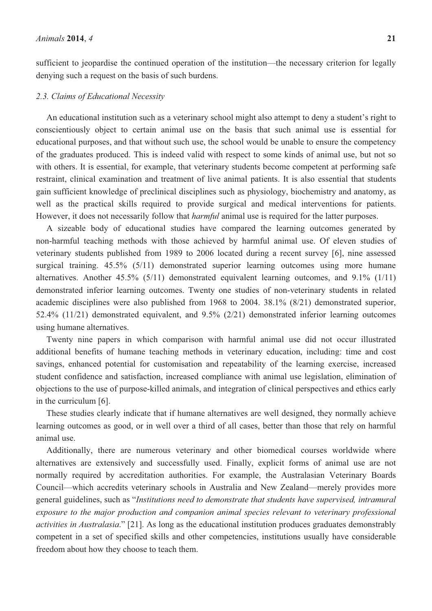sufficient to jeopardise the continued operation of the institution—the necessary criterion for legally denying such a request on the basis of such burdens.

#### *2.3. Claims of Educational Necessity*

An educational institution such as a veterinary school might also attempt to deny a student's right to conscientiously object to certain animal use on the basis that such animal use is essential for educational purposes, and that without such use, the school would be unable to ensure the competency of the graduates produced. This is indeed valid with respect to some kinds of animal use, but not so with others. It is essential, for example, that veterinary students become competent at performing safe restraint, clinical examination and treatment of live animal patients. It is also essential that students gain sufficient knowledge of preclinical disciplines such as physiology, biochemistry and anatomy, as well as the practical skills required to provide surgical and medical interventions for patients. However, it does not necessarily follow that *harmful* animal use is required for the latter purposes.

A sizeable body of educational studies have compared the learning outcomes generated by non-harmful teaching methods with those achieved by harmful animal use. Of eleven studies of veterinary students published from 1989 to 2006 located during a recent survey [6], nine assessed surgical training. 45.5% (5/11) demonstrated superior learning outcomes using more humane alternatives. Another 45.5% (5/11) demonstrated equivalent learning outcomes, and 9.1% (1/11) demonstrated inferior learning outcomes. Twenty one studies of non-veterinary students in related academic disciplines were also published from 1968 to 2004. 38.1% (8/21) demonstrated superior, 52.4% (11/21) demonstrated equivalent, and 9.5% (2/21) demonstrated inferior learning outcomes using humane alternatives.

Twenty nine papers in which comparison with harmful animal use did not occur illustrated additional benefits of humane teaching methods in veterinary education, including: time and cost savings, enhanced potential for customisation and repeatability of the learning exercise, increased student confidence and satisfaction, increased compliance with animal use legislation, elimination of objections to the use of purpose-killed animals, and integration of clinical perspectives and ethics early in the curriculum [6].

These studies clearly indicate that if humane alternatives are well designed, they normally achieve learning outcomes as good, or in well over a third of all cases, better than those that rely on harmful animal use.

Additionally, there are numerous veterinary and other biomedical courses worldwide where alternatives are extensively and successfully used. Finally, explicit forms of animal use are not normally required by accreditation authorities. For example, the Australasian Veterinary Boards Council—which accredits veterinary schools in Australia and New Zealand—merely provides more general guidelines, such as "*Institutions need to demonstrate that students have supervised, intramural exposure to the major production and companion animal species relevant to veterinary professional activities in Australasia*." [21]. As long as the educational institution produces graduates demonstrably competent in a set of specified skills and other competencies, institutions usually have considerable freedom about how they choose to teach them.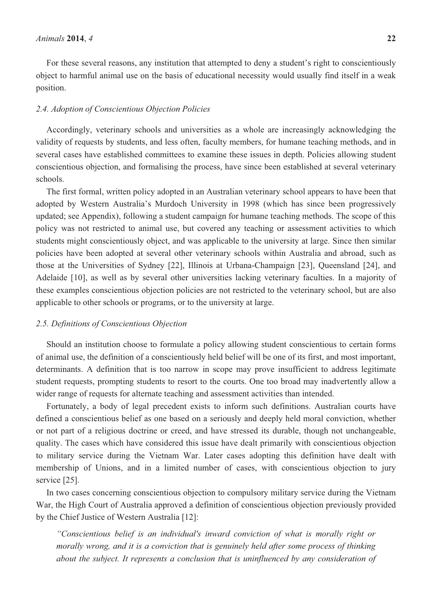For these several reasons, any institution that attempted to deny a student's right to conscientiously object to harmful animal use on the basis of educational necessity would usually find itself in a weak position.

#### *2.4. Adoption of Conscientious Objection Policies*

Accordingly, veterinary schools and universities as a whole are increasingly acknowledging the validity of requests by students, and less often, faculty members, for humane teaching methods, and in several cases have established committees to examine these issues in depth. Policies allowing student conscientious objection, and formalising the process, have since been established at several veterinary schools.

The first formal, written policy adopted in an Australian veterinary school appears to have been that adopted by Western Australia's Murdoch University in 1998 (which has since been progressively updated; see Appendix), following a student campaign for humane teaching methods. The scope of this policy was not restricted to animal use, but covered any teaching or assessment activities to which students might conscientiously object, and was applicable to the university at large. Since then similar policies have been adopted at several other veterinary schools within Australia and abroad, such as those at the Universities of Sydney [22], Illinois at Urbana-Champaign [23], Queensland [24], and Adelaide [10], as well as by several other universities lacking veterinary faculties. In a majority of these examples conscientious objection policies are not restricted to the veterinary school, but are also applicable to other schools or programs, or to the university at large.

#### *2.5. Definitions of Conscientious Objection*

Should an institution choose to formulate a policy allowing student conscientious to certain forms of animal use, the definition of a conscientiously held belief will be one of its first, and most important, determinants. A definition that is too narrow in scope may prove insufficient to address legitimate student requests, prompting students to resort to the courts. One too broad may inadvertently allow a wider range of requests for alternate teaching and assessment activities than intended.

Fortunately, a body of legal precedent exists to inform such definitions. Australian courts have defined a conscientious belief as one based on a seriously and deeply held moral conviction, whether or not part of a religious doctrine or creed, and have stressed its durable, though not unchangeable, quality. The cases which have considered this issue have dealt primarily with conscientious objection to military service during the Vietnam War. Later cases adopting this definition have dealt with membership of Unions, and in a limited number of cases, with conscientious objection to jury service [25].

In two cases concerning conscientious objection to compulsory military service during the Vietnam War, the High Court of Australia approved a definition of conscientious objection previously provided by the Chief Justice of Western Australia [12]:

*"Conscientious belief is an individual's inward conviction of what is morally right or morally wrong, and it is a conviction that is genuinely held after some process of thinking about the subject. It represents a conclusion that is uninfluenced by any consideration of*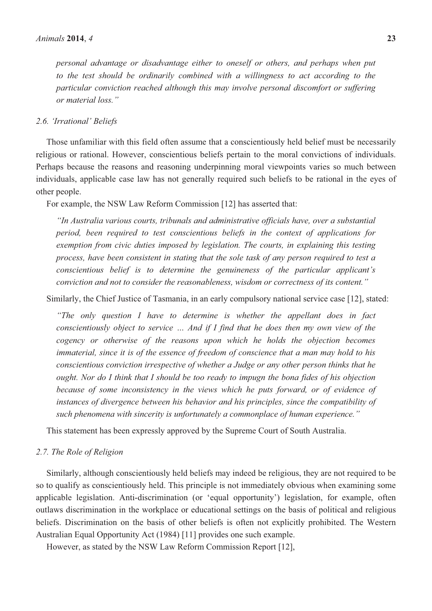*personal advantage or disadvantage either to oneself or others, and perhaps when put to the test should be ordinarily combined with a willingness to act according to the particular conviction reached although this may involve personal discomfort or suffering or material loss."* 

#### *2.6. 'Irrational' Beliefs*

Those unfamiliar with this field often assume that a conscientiously held belief must be necessarily religious or rational. However, conscientious beliefs pertain to the moral convictions of individuals. Perhaps because the reasons and reasoning underpinning moral viewpoints varies so much between individuals, applicable case law has not generally required such beliefs to be rational in the eyes of other people.

For example, the NSW Law Reform Commission [12] has asserted that:

*"In Australia various courts, tribunals and administrative officials have, over a substantial period, been required to test conscientious beliefs in the context of applications for exemption from civic duties imposed by legislation. The courts, in explaining this testing process, have been consistent in stating that the sole task of any person required to test a conscientious belief is to determine the genuineness of the particular applicant's conviction and not to consider the reasonableness, wisdom or correctness of its content."* 

Similarly, the Chief Justice of Tasmania, in an early compulsory national service case [12], stated:

*"The only question I have to determine is whether the appellant does in fact conscientiously object to service … And if I find that he does then my own view of the cogency or otherwise of the reasons upon which he holds the objection becomes immaterial, since it is of the essence of freedom of conscience that a man may hold to his conscientious conviction irrespective of whether a Judge or any other person thinks that he ought. Nor do I think that I should be too ready to impugn the bona fides of his objection because of some inconsistency in the views which he puts forward, or of evidence of instances of divergence between his behavior and his principles, since the compatibility of such phenomena with sincerity is unfortunately a commonplace of human experience."* 

This statement has been expressly approved by the Supreme Court of South Australia.

#### *2.7. The Role of Religion*

Similarly, although conscientiously held beliefs may indeed be religious, they are not required to be so to qualify as conscientiously held. This principle is not immediately obvious when examining some applicable legislation. Anti-discrimination (or 'equal opportunity') legislation, for example, often outlaws discrimination in the workplace or educational settings on the basis of political and religious beliefs. Discrimination on the basis of other beliefs is often not explicitly prohibited. The Western Australian Equal Opportunity Act (1984) [11] provides one such example.

However, as stated by the NSW Law Reform Commission Report [12],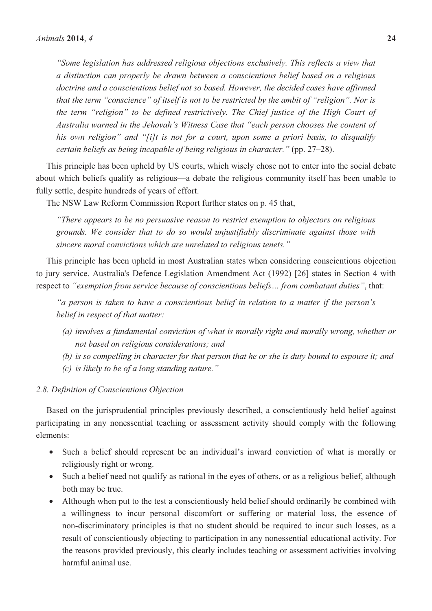*"Some legislation has addressed religious objections exclusively. This reflects a view that a distinction can properly be drawn between a conscientious belief based on a religious doctrine and a conscientious belief not so based. However, the decided cases have affirmed that the term "conscience" of itself is not to be restricted by the ambit of "religion". Nor is the term "religion" to be defined restrictively. The Chief justice of the High Court of Australia warned in the Jehovah's Witness Case that "each person chooses the content of his own religion" and "[i]t is not for a court, upon some a priori basis, to disqualify certain beliefs as being incapable of being religious in character."* (pp. 27–28).

This principle has been upheld by US courts, which wisely chose not to enter into the social debate about which beliefs qualify as religious—a debate the religious community itself has been unable to fully settle, despite hundreds of years of effort.

The NSW Law Reform Commission Report further states on p. 45 that,

*"There appears to be no persuasive reason to restrict exemption to objectors on religious grounds. We consider that to do so would unjustifiably discriminate against those with sincere moral convictions which are unrelated to religious tenets."* 

This principle has been upheld in most Australian states when considering conscientious objection to jury service. Australia's Defence Legislation Amendment Act (1992) [26] states in Section 4 with respect to *"exemption from service because of conscientious beliefs… from combatant duties"*, that:

*"a person is taken to have a conscientious belief in relation to a matter if the person's belief in respect of that matter:* 

- *(a) involves a fundamental conviction of what is morally right and morally wrong, whether or not based on religious considerations; and*
- *(b) is so compelling in character for that person that he or she is duty bound to espouse it; and*
- *(c) is likely to be of a long standing nature."*

# *2.8. Definition of Conscientious Objection*

Based on the jurisprudential principles previously described, a conscientiously held belief against participating in any nonessential teaching or assessment activity should comply with the following elements:

- Such a belief should represent be an individual's inward conviction of what is morally or religiously right or wrong.
- Such a belief need not qualify as rational in the eyes of others, or as a religious belief, although both may be true.
- Although when put to the test a conscientiously held belief should ordinarily be combined with a willingness to incur personal discomfort or suffering or material loss, the essence of non-discriminatory principles is that no student should be required to incur such losses, as a result of conscientiously objecting to participation in any nonessential educational activity. For the reasons provided previously, this clearly includes teaching or assessment activities involving harmful animal use.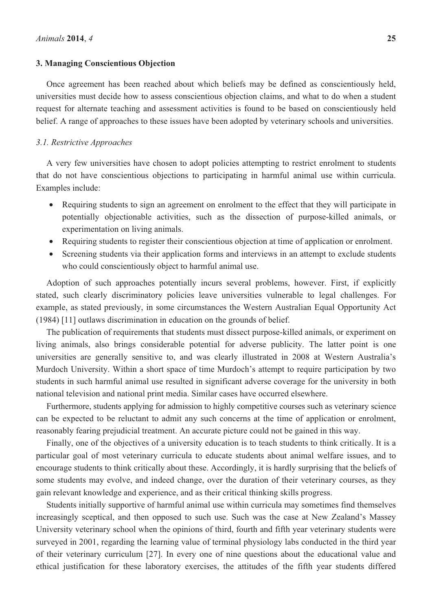#### **3. Managing Conscientious Objection**

Once agreement has been reached about which beliefs may be defined as conscientiously held, universities must decide how to assess conscientious objection claims, and what to do when a student request for alternate teaching and assessment activities is found to be based on conscientiously held belief. A range of approaches to these issues have been adopted by veterinary schools and universities.

#### *3.1. Restrictive Approaches*

A very few universities have chosen to adopt policies attempting to restrict enrolment to students that do not have conscientious objections to participating in harmful animal use within curricula. Examples include:

- Requiring students to sign an agreement on enrolment to the effect that they will participate in potentially objectionable activities, such as the dissection of purpose-killed animals, or experimentation on living animals.
- Requiring students to register their conscientious objection at time of application or enrolment.
- Screening students via their application forms and interviews in an attempt to exclude students who could conscientiously object to harmful animal use.

Adoption of such approaches potentially incurs several problems, however. First, if explicitly stated, such clearly discriminatory policies leave universities vulnerable to legal challenges. For example, as stated previously, in some circumstances the Western Australian Equal Opportunity Act (1984) [11] outlaws discrimination in education on the grounds of belief.

The publication of requirements that students must dissect purpose-killed animals, or experiment on living animals, also brings considerable potential for adverse publicity. The latter point is one universities are generally sensitive to, and was clearly illustrated in 2008 at Western Australia's Murdoch University. Within a short space of time Murdoch's attempt to require participation by two students in such harmful animal use resulted in significant adverse coverage for the university in both national television and national print media. Similar cases have occurred elsewhere.

Furthermore, students applying for admission to highly competitive courses such as veterinary science can be expected to be reluctant to admit any such concerns at the time of application or enrolment, reasonably fearing prejudicial treatment. An accurate picture could not be gained in this way.

Finally, one of the objectives of a university education is to teach students to think critically. It is a particular goal of most veterinary curricula to educate students about animal welfare issues, and to encourage students to think critically about these. Accordingly, it is hardly surprising that the beliefs of some students may evolve, and indeed change, over the duration of their veterinary courses, as they gain relevant knowledge and experience, and as their critical thinking skills progress.

Students initially supportive of harmful animal use within curricula may sometimes find themselves increasingly sceptical, and then opposed to such use. Such was the case at New Zealand's Massey University veterinary school when the opinions of third, fourth and fifth year veterinary students were surveyed in 2001, regarding the learning value of terminal physiology labs conducted in the third year of their veterinary curriculum [27]. In every one of nine questions about the educational value and ethical justification for these laboratory exercises, the attitudes of the fifth year students differed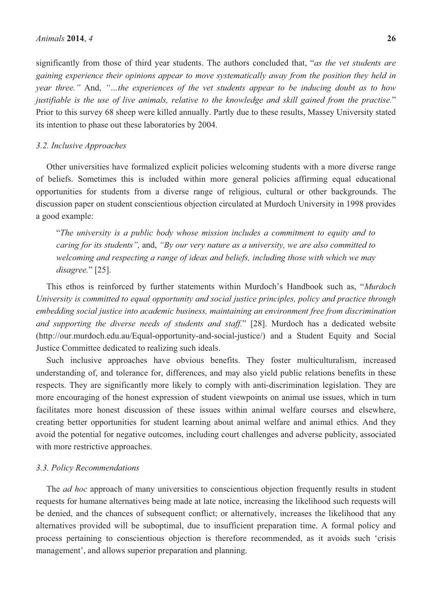significantly from those of third year students. The authors concluded that, "*as the vet students are gaining experience their opinions appear to move systematically away from the position they held in year three."* And, *"…the experiences of the vet students appear to be inducing doubt as to how justifiable is the use of live animals, relative to the knowledge and skill gained from the practise.*" Prior to this survey 68 sheep were killed annually. Partly due to these results, Massey University stated its intention to phase out these laboratories by 2004.

#### *3.2. Inclusive Approaches*

Other universities have formalized explicit policies welcoming students with a more diverse range of beliefs. Sometimes this is included within more general policies affirming equal educational opportunities for students from a diverse range of religious, cultural or other backgrounds. The discussion paper on student conscientious objection circulated at Murdoch University in 1998 provides a good example:

"*The university is a public body whose mission includes a commitment to equity and to caring for its students",* and, *"By our very nature as a university, we are also committed to welcoming and respecting a range of ideas and beliefs, including those with which we may disagree.*" [25].

This ethos is reinforced by further statements within Murdoch's Handbook such as, "*Murdoch University is committed to equal opportunity and social justice principles, policy and practice through embedding social justice into academic business, maintaining an environment free from discrimination and supporting the diverse needs of students and staff.*" [28]. Murdoch has a dedicated website (http://our.murdoch.edu.au/Equal-opportunity-and-social-justice/) and a Student Equity and Social Justice Committee dedicated to realizing such ideals.

Such inclusive approaches have obvious benefits. They foster multiculturalism, increased understanding of, and tolerance for, differences, and may also yield public relations benefits in these respects. They are significantly more likely to comply with anti-discrimination legislation. They are more encouraging of the honest expression of student viewpoints on animal use issues, which in turn facilitates more honest discussion of these issues within animal welfare courses and elsewhere, creating better opportunities for student learning about animal welfare and animal ethics. And they avoid the potential for negative outcomes, including court challenges and adverse publicity, associated with more restrictive approaches.

#### *3.3. Policy Recommendations*

The *ad hoc* approach of many universities to conscientious objection frequently results in student requests for humane alternatives being made at late notice, increasing the likelihood such requests will be denied, and the chances of subsequent conflict; or alternatively, increases the likelihood that any alternatives provided will be suboptimal, due to insufficient preparation time. A formal policy and process pertaining to conscientious objection is therefore recommended, as it avoids such 'crisis management', and allows superior preparation and planning.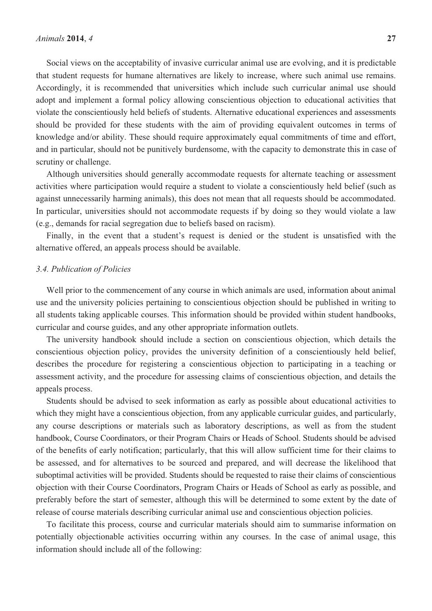Social views on the acceptability of invasive curricular animal use are evolving, and it is predictable that student requests for humane alternatives are likely to increase, where such animal use remains. Accordingly, it is recommended that universities which include such curricular animal use should adopt and implement a formal policy allowing conscientious objection to educational activities that violate the conscientiously held beliefs of students. Alternative educational experiences and assessments should be provided for these students with the aim of providing equivalent outcomes in terms of knowledge and/or ability. These should require approximately equal commitments of time and effort, and in particular, should not be punitively burdensome, with the capacity to demonstrate this in case of scrutiny or challenge.

Although universities should generally accommodate requests for alternate teaching or assessment activities where participation would require a student to violate a conscientiously held belief (such as against unnecessarily harming animals), this does not mean that all requests should be accommodated. In particular, universities should not accommodate requests if by doing so they would violate a law (e.g., demands for racial segregation due to beliefs based on racism).

Finally, in the event that a student's request is denied or the student is unsatisfied with the alternative offered, an appeals process should be available.

#### *3.4. Publication of Policies*

Well prior to the commencement of any course in which animals are used, information about animal use and the university policies pertaining to conscientious objection should be published in writing to all students taking applicable courses. This information should be provided within student handbooks, curricular and course guides, and any other appropriate information outlets.

The university handbook should include a section on conscientious objection, which details the conscientious objection policy, provides the university definition of a conscientiously held belief, describes the procedure for registering a conscientious objection to participating in a teaching or assessment activity, and the procedure for assessing claims of conscientious objection, and details the appeals process.

Students should be advised to seek information as early as possible about educational activities to which they might have a conscientious objection, from any applicable curricular guides, and particularly, any course descriptions or materials such as laboratory descriptions, as well as from the student handbook, Course Coordinators, or their Program Chairs or Heads of School. Students should be advised of the benefits of early notification; particularly, that this will allow sufficient time for their claims to be assessed, and for alternatives to be sourced and prepared, and will decrease the likelihood that suboptimal activities will be provided. Students should be requested to raise their claims of conscientious objection with their Course Coordinators, Program Chairs or Heads of School as early as possible, and preferably before the start of semester, although this will be determined to some extent by the date of release of course materials describing curricular animal use and conscientious objection policies.

To facilitate this process, course and curricular materials should aim to summarise information on potentially objectionable activities occurring within any courses. In the case of animal usage, this information should include all of the following: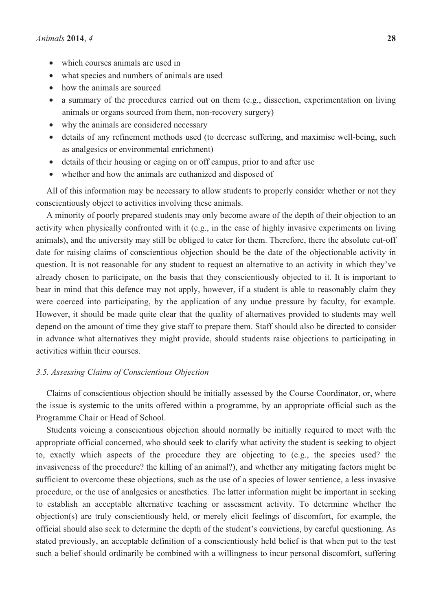- which courses animals are used in
- what species and numbers of animals are used
- how the animals are sourced
- a summary of the procedures carried out on them (e.g., dissection, experimentation on living animals or organs sourced from them, non-recovery surgery)
- why the animals are considered necessary
- details of any refinement methods used (to decrease suffering, and maximise well-being, such as analgesics or environmental enrichment)
- details of their housing or caging on or off campus, prior to and after use
- whether and how the animals are euthanized and disposed of

All of this information may be necessary to allow students to properly consider whether or not they conscientiously object to activities involving these animals.

A minority of poorly prepared students may only become aware of the depth of their objection to an activity when physically confronted with it (e.g., in the case of highly invasive experiments on living animals), and the university may still be obliged to cater for them. Therefore, there the absolute cut-off date for raising claims of conscientious objection should be the date of the objectionable activity in question. It is not reasonable for any student to request an alternative to an activity in which they've already chosen to participate, on the basis that they conscientiously objected to it. It is important to bear in mind that this defence may not apply, however, if a student is able to reasonably claim they were coerced into participating, by the application of any undue pressure by faculty, for example. However, it should be made quite clear that the quality of alternatives provided to students may well depend on the amount of time they give staff to prepare them. Staff should also be directed to consider in advance what alternatives they might provide, should students raise objections to participating in activities within their courses.

#### *3.5. Assessing Claims of Conscientious Objection*

Claims of conscientious objection should be initially assessed by the Course Coordinator, or, where the issue is systemic to the units offered within a programme, by an appropriate official such as the Programme Chair or Head of School.

Students voicing a conscientious objection should normally be initially required to meet with the appropriate official concerned, who should seek to clarify what activity the student is seeking to object to, exactly which aspects of the procedure they are objecting to (e.g., the species used? the invasiveness of the procedure? the killing of an animal?), and whether any mitigating factors might be sufficient to overcome these objections, such as the use of a species of lower sentience, a less invasive procedure, or the use of analgesics or anesthetics. The latter information might be important in seeking to establish an acceptable alternative teaching or assessment activity. To determine whether the objection(s) are truly conscientiously held, or merely elicit feelings of discomfort, for example, the official should also seek to determine the depth of the student's convictions, by careful questioning. As stated previously, an acceptable definition of a conscientiously held belief is that when put to the test such a belief should ordinarily be combined with a willingness to incur personal discomfort, suffering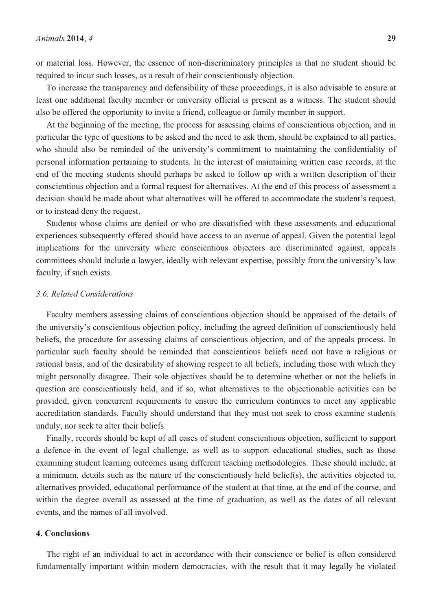or material loss. However, the essence of non-discriminatory principles is that no student should be required to incur such losses, as a result of their conscientiously objection.

To increase the transparency and defensibility of these proceedings, it is also advisable to ensure at least one additional faculty member or university official is present as a witness. The student should also be offered the opportunity to invite a friend, colleague or family member in support.

At the beginning of the meeting, the process for assessing claims of conscientious objection, and in particular the type of questions to be asked and the need to ask them, should be explained to all parties, who should also be reminded of the university's commitment to maintaining the confidentiality of personal information pertaining to students. In the interest of maintaining written case records, at the end of the meeting students should perhaps be asked to follow up with a written description of their conscientious objection and a formal request for alternatives. At the end of this process of assessment a decision should be made about what alternatives will be offered to accommodate the student's request, or to instead deny the request.

Students whose claims are denied or who are dissatisfied with these assessments and educational experiences subsequently offered should have access to an avenue of appeal. Given the potential legal implications for the university where conscientious objectors are discriminated against, appeals committees should include a lawyer, ideally with relevant expertise, possibly from the university's law faculty, if such exists.

#### *3.6. Related Considerations*

Faculty members assessing claims of conscientious objection should be appraised of the details of the university's conscientious objection policy, including the agreed definition of conscientiously held beliefs, the procedure for assessing claims of conscientious objection, and of the appeals process. In particular such faculty should be reminded that conscientious beliefs need not have a religious or rational basis, and of the desirability of showing respect to all beliefs, including those with which they might personally disagree. Their sole objectives should be to determine whether or not the beliefs in question are conscientiously held, and if so, what alternatives to the objectionable activities can be provided, given concurrent requirements to ensure the curriculum continues to meet any applicable accreditation standards. Faculty should understand that they must not seek to cross examine students unduly, nor seek to alter their beliefs.

Finally, records should be kept of all cases of student conscientious objection, sufficient to support a defence in the event of legal challenge, as well as to support educational studies, such as those examining student learning outcomes using different teaching methodologies. These should include, at a minimum, details such as the nature of the conscientiously held belief(s), the activities objected to, alternatives provided, educational performance of the student at that time, at the end of the course, and within the degree overall as assessed at the time of graduation, as well as the dates of all relevant events, and the names of all involved.

## **4. Conclusions**

The right of an individual to act in accordance with their conscience or belief is often considered fundamentally important within modern democracies, with the result that it may legally be violated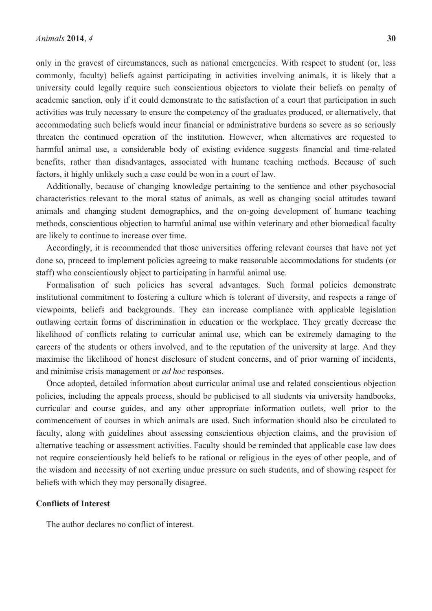only in the gravest of circumstances, such as national emergencies. With respect to student (or, less commonly, faculty) beliefs against participating in activities involving animals, it is likely that a university could legally require such conscientious objectors to violate their beliefs on penalty of academic sanction, only if it could demonstrate to the satisfaction of a court that participation in such activities was truly necessary to ensure the competency of the graduates produced, or alternatively, that accommodating such beliefs would incur financial or administrative burdens so severe as so seriously threaten the continued operation of the institution. However, when alternatives are requested to harmful animal use, a considerable body of existing evidence suggests financial and time-related benefits, rather than disadvantages, associated with humane teaching methods. Because of such factors, it highly unlikely such a case could be won in a court of law.

Additionally, because of changing knowledge pertaining to the sentience and other psychosocial characteristics relevant to the moral status of animals, as well as changing social attitudes toward animals and changing student demographics, and the on-going development of humane teaching methods, conscientious objection to harmful animal use within veterinary and other biomedical faculty are likely to continue to increase over time.

Accordingly, it is recommended that those universities offering relevant courses that have not yet done so, proceed to implement policies agreeing to make reasonable accommodations for students (or staff) who conscientiously object to participating in harmful animal use.

Formalisation of such policies has several advantages. Such formal policies demonstrate institutional commitment to fostering a culture which is tolerant of diversity, and respects a range of viewpoints, beliefs and backgrounds. They can increase compliance with applicable legislation outlawing certain forms of discrimination in education or the workplace. They greatly decrease the likelihood of conflicts relating to curricular animal use, which can be extremely damaging to the careers of the students or others involved, and to the reputation of the university at large. And they maximise the likelihood of honest disclosure of student concerns, and of prior warning of incidents, and minimise crisis management or *ad hoc* responses.

Once adopted, detailed information about curricular animal use and related conscientious objection policies, including the appeals process, should be publicised to all students via university handbooks, curricular and course guides, and any other appropriate information outlets, well prior to the commencement of courses in which animals are used. Such information should also be circulated to faculty, along with guidelines about assessing conscientious objection claims, and the provision of alternative teaching or assessment activities. Faculty should be reminded that applicable case law does not require conscientiously held beliefs to be rational or religious in the eyes of other people, and of the wisdom and necessity of not exerting undue pressure on such students, and of showing respect for beliefs with which they may personally disagree.

## **Conflicts of Interest**

The author declares no conflict of interest.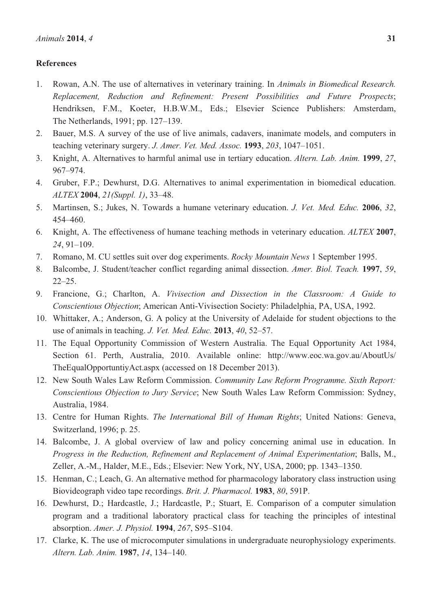# **References**

- 1. Rowan, A.N. The use of alternatives in veterinary training. In *Animals in Biomedical Research. Replacement, Reduction and Refinement: Present Possibilities and Future Prospects*; Hendriksen, F.M., Koeter, H.B.W.M., Eds.; Elsevier Science Publishers: Amsterdam, The Netherlands, 1991; pp. 127–139.
- 2. Bauer, M.S. A survey of the use of live animals, cadavers, inanimate models, and computers in teaching veterinary surgery. *J. Amer. Vet. Med. Assoc.* **1993**, *203*, 1047–1051.
- 3. Knight, A. Alternatives to harmful animal use in tertiary education. *Altern. Lab. Anim.* **1999**, *27*, 967–974.
- 4. Gruber, F.P.; Dewhurst, D.G. Alternatives to animal experimentation in biomedical education. *ALTEX* **2004**, *21(Suppl. 1)*, 33–48.
- 5. Martinsen, S.; Jukes, N. Towards a humane veterinary education. *J. Vet. Med. Educ.* **2006**, *32*, 454–460.
- 6. Knight, A. The effectiveness of humane teaching methods in veterinary education. *ALTEX* **2007**, *24*, 91–109.
- 7. Romano, M. CU settles suit over dog experiments. *Rocky Mountain News* 1 September 1995.
- 8. Balcombe, J. Student/teacher conflict regarding animal dissection. *Amer. Biol. Teach.* **1997**, *59*, 22–25.
- 9. Francione, G.; Charlton, A. *Vivisection and Dissection in the Classroom: A Guide to Conscientious Objection*; American Anti-Vivisection Society: Philadelphia, PA, USA, 1992.
- 10. Whittaker, A.; Anderson, G. A policy at the University of Adelaide for student objections to the use of animals in teaching. *J. Vet. Med. Educ.* **2013**, *40*, 52–57.
- 11. The Equal Opportunity Commission of Western Australia. The Equal Opportunity Act 1984, Section 61. Perth, Australia, 2010. Available online: http://www.eoc.wa.gov.au/AboutUs/ TheEqualOpportuntiyAct.aspx (accessed on 18 December 2013).
- 12. New South Wales Law Reform Commission. *Community Law Reform Programme. Sixth Report: Conscientious Objection to Jury Service*; New South Wales Law Reform Commission: Sydney, Australia, 1984.
- 13. Centre for Human Rights. *The International Bill of Human Rights*; United Nations: Geneva, Switzerland, 1996; p. 25.
- 14. Balcombe, J. A global overview of law and policy concerning animal use in education. In *Progress in the Reduction, Refinement and Replacement of Animal Experimentation*; Balls, M., Zeller, A.-M., Halder, M.E., Eds.; Elsevier: New York, NY, USA, 2000; pp. 1343–1350.
- 15. Henman, C.; Leach, G. An alternative method for pharmacology laboratory class instruction using Biovideograph video tape recordings. *Brit. J. Pharmacol.* **1983**, *80*, 591P.
- 16. Dewhurst, D.; Hardcastle, J.; Hardcastle, P.; Stuart, E. Comparison of a computer simulation program and a traditional laboratory practical class for teaching the principles of intestinal absorption. *Amer. J. Physiol.* **1994**, *267*, S95–S104.
- 17. Clarke, K. The use of microcomputer simulations in undergraduate neurophysiology experiments. *Altern. Lab. Anim.* **1987**, *14*, 134–140.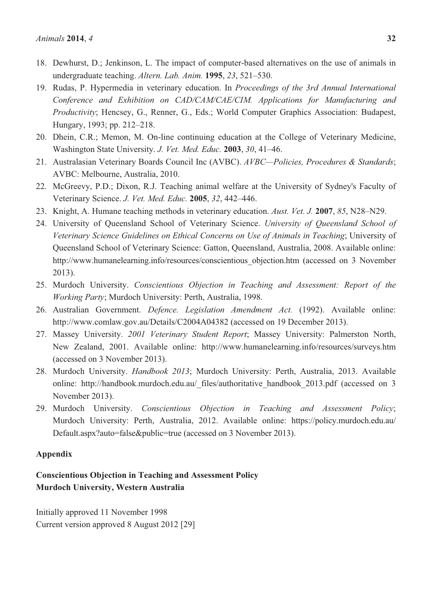- 18. Dewhurst, D.; Jenkinson, L. The impact of computer-based alternatives on the use of animals in undergraduate teaching. *Altern. Lab. Anim.* **1995**, *23*, 521–530.
- 19. Rudas, P. Hypermedia in veterinary education. In *Proceedings of the 3rd Annual International Conference and Exhibition on CAD/CAM/CAE/CIM. Applications for Manufacturing and Productivity*; Hencsey, G., Renner, G., Eds.; World Computer Graphics Association: Budapest, Hungary, 1993; pp. 212–218.
- 20. Dhein, C.R.; Memon, M. On-line continuing education at the College of Veterinary Medicine, Washington State University. *J. Vet. Med. Educ.* **2003**, *30*, 41–46.
- 21. Australasian Veterinary Boards Council Inc (AVBC). *AVBC—Policies, Procedures & Standards*; AVBC: Melbourne, Australia, 2010.
- 22. McGreevy, P.D.; Dixon, R.J. Teaching animal welfare at the University of Sydney's Faculty of Veterinary Science. *J. Vet. Med. Educ.* **2005**, *32*, 442–446.
- 23. Knight, A. Humane teaching methods in veterinary education. *Aust. Vet. J.* **2007**, *85*, N28–N29.
- 24. University of Queensland School of Veterinary Science. *University of Queensland School of Veterinary Science Guidelines on Ethical Concerns on Use of Animals in Teaching*; University of Queensland School of Veterinary Science: Gatton, Queensland, Australia, 2008. Available online: http://www.humanelearning.info/resources/conscientious objection.htm (accessed on 3 November 2013).
- 25. Murdoch University. *Conscientious Objection in Teaching and Assessment: Report of the Working Party*; Murdoch University: Perth, Australia, 1998.
- 26. Australian Government. *Defence. Legislation Amendment Act.* (1992). Available online: http://www.comlaw.gov.au/Details/C2004A04382 (accessed on 19 December 2013).
- 27. Massey University. *2001 Veterinary Student Report*; Massey University: Palmerston North, New Zealand, 2001. Available online: http://www.humanelearning.info/resources/surveys.htm (accessed on 3 November 2013).
- 28. Murdoch University. *Handbook 2013*; Murdoch University: Perth, Australia, 2013. Available online: http://handbook.murdoch.edu.au/\_files/authoritative\_handbook\_2013.pdf (accessed on 3 November 2013).
- 29. Murdoch University. *Conscientious Objection in Teaching and Assessment Policy*; Murdoch University: Perth, Australia, 2012. Available online: https://policy.murdoch.edu.au/ Default.aspx?auto=false&public=true (accessed on 3 November 2013).

# **Appendix**

# **Conscientious Objection in Teaching and Assessment Policy Murdoch University, Western Australia**

Initially approved 11 November 1998 Current version approved 8 August 2012 [29]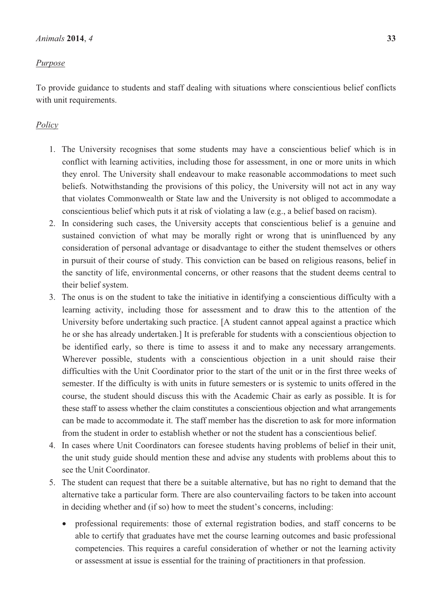# *Purpose*

To provide guidance to students and staff dealing with situations where conscientious belief conflicts with unit requirements.

# *Policy*

- 1. The University recognises that some students may have a conscientious belief which is in conflict with learning activities, including those for assessment, in one or more units in which they enrol. The University shall endeavour to make reasonable accommodations to meet such beliefs. Notwithstanding the provisions of this policy, the University will not act in any way that violates Commonwealth or State law and the University is not obliged to accommodate a conscientious belief which puts it at risk of violating a law (e.g., a belief based on racism).
- 2. In considering such cases, the University accepts that conscientious belief is a genuine and sustained conviction of what may be morally right or wrong that is uninfluenced by any consideration of personal advantage or disadvantage to either the student themselves or others in pursuit of their course of study. This conviction can be based on religious reasons, belief in the sanctity of life, environmental concerns, or other reasons that the student deems central to their belief system.
- 3. The onus is on the student to take the initiative in identifying a conscientious difficulty with a learning activity, including those for assessment and to draw this to the attention of the University before undertaking such practice. [A student cannot appeal against a practice which he or she has already undertaken.] It is preferable for students with a conscientious objection to be identified early, so there is time to assess it and to make any necessary arrangements. Wherever possible, students with a conscientious objection in a unit should raise their difficulties with the Unit Coordinator prior to the start of the unit or in the first three weeks of semester. If the difficulty is with units in future semesters or is systemic to units offered in the course, the student should discuss this with the Academic Chair as early as possible. It is for these staff to assess whether the claim constitutes a conscientious objection and what arrangements can be made to accommodate it. The staff member has the discretion to ask for more information from the student in order to establish whether or not the student has a conscientious belief.
- 4. In cases where Unit Coordinators can foresee students having problems of belief in their unit, the unit study guide should mention these and advise any students with problems about this to see the Unit Coordinator.
- 5. The student can request that there be a suitable alternative, but has no right to demand that the alternative take a particular form. There are also countervailing factors to be taken into account in deciding whether and (if so) how to meet the student's concerns, including:
	- professional requirements: those of external registration bodies, and staff concerns to be able to certify that graduates have met the course learning outcomes and basic professional competencies. This requires a careful consideration of whether or not the learning activity or assessment at issue is essential for the training of practitioners in that profession.